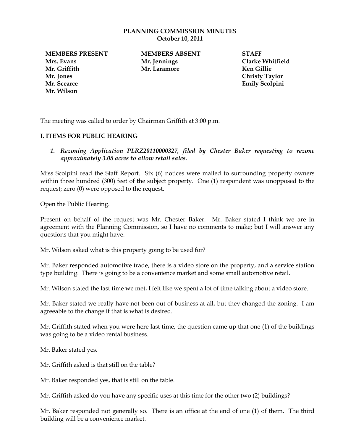#### **PLANNING COMMISSION MINUTES October 10, 2011**

**Mrs. Evans Mr. Jennings Clarke Whitfield Mr. Griffith Mr. Laramore Ken Gillie Mr. Jones Christy Taylor Mr. Scearce Emily Scolpini Mr. Wilson**

**MEMBERS PRESENT MEMBERS ABSENT STAFF**

The meeting was called to order by Chairman Griffith at 3:00 p.m.

## **I. ITEMS FOR PUBLIC HEARING**

1. Rezoning Application PLRZ20110000327, filed by Chester Baker requesting to rezone *approximately 3.08 acres to allow retail sales.*

Miss Scolpini read the Staff Report. Six (6) notices were mailed to surrounding property owners within three hundred (300) feet of the subject property. One (1) respondent was unopposed to the request; zero (0) were opposed to the request.

Open the Public Hearing.

Present on behalf of the request was Mr. Chester Baker. Mr. Baker stated I think we are in agreement with the Planning Commission, so I have no comments to make; but I will answer any questions that you might have.

Mr. Wilson asked what is this property going to be used for?

Mr. Baker responded automotive trade, there is a video store on the property, and a service station type building. There is going to be a convenience market and some small automotive retail.

Mr. Wilson stated the last time we met, I felt like we spent a lot of time talking about a video store.

Mr. Baker stated we really have not been out of business at all, but they changed the zoning. I am agreeable to the change if that is what is desired.

Mr. Griffith stated when you were here last time, the question came up that one (1) of the buildings was going to be a video rental business.

Mr. Baker stated yes.

Mr. Griffith asked is that still on the table?

Mr. Baker responded yes, that is still on the table.

Mr. Griffith asked do you have any specific uses at this time for the other two (2) buildings?

Mr. Baker responded not generally so. There is an office at the end of one (1) of them. The third building will be a convenience market.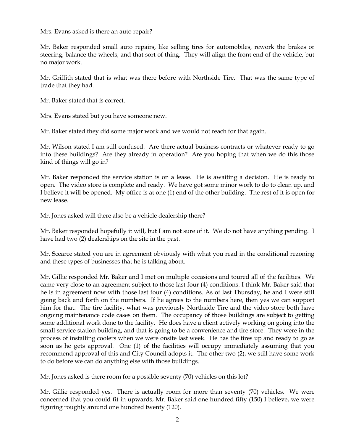Mrs. Evans asked is there an auto repair?

Mr. Baker responded small auto repairs, like selling tires for automobiles, rework the brakes or steering, balance the wheels, and that sort of thing. They will align the front end of the vehicle, but no major work.

Mr. Griffith stated that is what was there before with Northside Tire. That was the same type of trade that they had.

Mr. Baker stated that is correct.

Mrs. Evans stated but you have someone new.

Mr. Baker stated they did some major work and we would not reach for that again.

Mr. Wilson stated I am still confused. Are there actual business contracts or whatever ready to go into these buildings? Are they already in operation? Are you hoping that when we do this those kind of things will go in?

Mr. Baker responded the service station is on a lease. He is awaiting a decision. He is ready to open. The video store is complete and ready. We have got some minor work to do to clean up, and I believe it will be opened. My office is at one (1) end of the other building. The rest of it is open for new lease.

Mr. Jones asked will there also be a vehicle dealership there?

Mr. Baker responded hopefully it will, but I am not sure of it. We do not have anything pending. I have had two (2) dealerships on the site in the past.

Mr. Scearce stated you are in agreement obviously with what you read in the conditional rezoning and these types of businesses that he is talking about.

Mr. Gillie responded Mr. Baker and I met on multiple occasions and toured all of the facilities. We came very close to an agreement subject to those last four (4) conditions. I think Mr. Baker said that he is in agreement now with those last four (4) conditions. As of last Thursday, he and I were still going back and forth on the numbers. If he agrees to the numbers here, then yes we can support him for that. The tire facility, what was previously Northside Tire and the video store both have ongoing maintenance code cases on them. The occupancy of those buildings are subject to getting some additional work done to the facility. He does have a client actively working on going into the small service station building, and that is going to be a convenience and tire store. They were in the process of installing coolers when we were onsite last week. He has the tires up and ready to go as soon as he gets approval. One (1) of the facilities will occupy immediately assuming that you recommend approval of this and City Council adopts it. The other two (2), we still have some work to do before we can do anything else with those buildings.

Mr. Jones asked is there room for a possible seventy (70) vehicles on this lot?

Mr. Gillie responded yes. There is actually room for more than seventy (70) vehicles. We were concerned that you could fit in upwards, Mr. Baker said one hundred fifty (150) I believe, we were figuring roughly around one hundred twenty (120).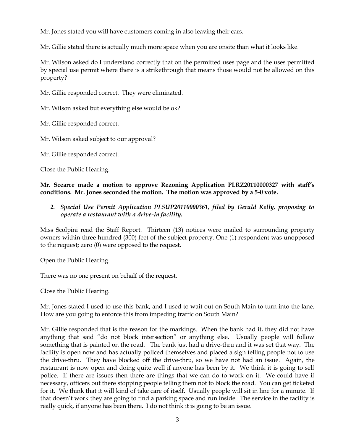Mr. Jones stated you will have customers coming in also leaving their cars.

Mr. Gillie stated there is actually much more space when you are onsite than what it looks like.

Mr. Wilson asked do I understand correctly that on the permitted uses page and the uses permitted by special use permit where there is a strikethrough that means those would not be allowed on this property?

Mr. Gillie responded correct. They were eliminated.

Mr. Wilson asked but everything else would be ok?

Mr. Gillie responded correct.

Mr. Wilson asked subject to our approval?

Mr. Gillie responded correct.

Close the Public Hearing.

**Mr. Scearce made a motion to approve Rezoning Application PLRZ20110000327 with staff's conditions. Mr. Jones seconded the motion. The motion was approved by a 5-0 vote.** 

# *2. Special Use Permit Application PLSUP20110000361, filed by Gerald Kelly, proposing to operate a restaurant with a drive-in facility.*

Miss Scolpini read the Staff Report. Thirteen (13) notices were mailed to surrounding property owners within three hundred (300) feet of the subject property. One (1) respondent was unopposed to the request; zero (0) were opposed to the request.

Open the Public Hearing.

There was no one present on behalf of the request.

Close the Public Hearing.

Mr. Jones stated I used to use this bank, and I used to wait out on South Main to turn into the lane. How are you going to enforce this from impeding traffic on South Main?

Mr. Gillie responded that is the reason for the markings. When the bank had it, they did not have anything that said "do not block intersection" or anything else. Usually people will follow something that is painted on the road. The bank just had a drive-thru and it was set that way. The facility is open now and has actually policed themselves and placed a sign telling people not to use the drive-thru. They have blocked off the drive-thru, so we have not had an issue. Again, the restaurant is now open and doing quite well if anyone has been by it. We think it is going to self police. If there are issues then there are things that we can do to work on it. We could have if necessary, officers out there stopping people telling them not to block the road. You can get ticketed for it. We think that it will kind of take care of itself. Usually people will sit in line for a minute. If that doesn't work they are going to find a parking space and run inside. The service in the facility is really quick, if anyone has been there. I do not think it is going to be an issue.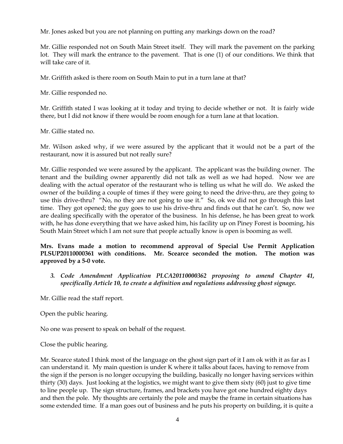Mr. Jones asked but you are not planning on putting any markings down on the road?

Mr. Gillie responded not on South Main Street itself. They will mark the pavement on the parking lot. They will mark the entrance to the pavement. That is one (1) of our conditions. We think that will take care of it.

Mr. Griffith asked is there room on South Main to put in a turn lane at that?

Mr. Gillie responded no.

Mr. Griffith stated I was looking at it today and trying to decide whether or not. It is fairly wide there, but I did not know if there would be room enough for a turn lane at that location.

Mr. Gillie stated no.

Mr. Wilson asked why, if we were assured by the applicant that it would not be a part of the restaurant, now it is assured but not really sure?

Mr. Gillie responded we were assured by the applicant. The applicant was the building owner. The tenant and the building owner apparently did not talk as well as we had hoped. Now we are dealing with the actual operator of the restaurant who is telling us what he will do. We asked the owner of the building a couple of times if they were going to need the drive-thru, are they going to use this drive-thru? "No, no they are not going to use it." So, ok we did not go through this last time. They got opened; the guy goes to use his drive-thru and finds out that he can't. So, now we are dealing specifically with the operator of the business. In his defense, he has been great to work with, he has done everything that we have asked him, his facility up on Piney Forest is booming, his South Main Street which I am not sure that people actually know is open is booming as well.

# **Mrs. Evans made a motion to recommend approval of Special Use Permit Application PLSUP20110000361 with conditions. Mr. Scearce seconded the motion. The motion was approved by a 5-0 vote.**

*3. Code Amendment Application PLCA20110000362 proposing to amend Chapter 41, specifically Article 10, to create a definition and regulations addressing ghost signage.*

Mr. Gillie read the staff report.

Open the public hearing.

No one was present to speak on behalf of the request.

Close the public hearing.

Mr. Scearce stated I think most of the language on the ghost sign part of it I am ok with it as far as I can understand it. My main question is under K where it talks about faces, having to remove from the sign if the person is no longer occupying the building, basically no longer having services within thirty (30) days. Just looking at the logistics, we might want to give them sixty (60) just to give time to line people up. The sign structure, frames, and brackets you have got one hundred eighty days and then the pole. My thoughts are certainly the pole and maybe the frame in certain situations has some extended time. If a man goes out of business and he puts his property on building, it is quite a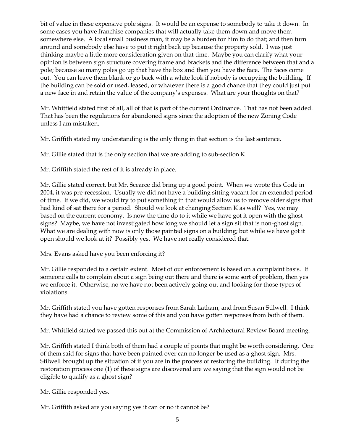bit of value in these expensive pole signs. It would be an expense to somebody to take it down. In some cases you have franchise companies that will actually take them down and move them somewhere else. A local small business man, it may be a burden for him to do that; and then turn around and somebody else have to put it right back up because the property sold. I was just thinking maybe a little more consideration given on that time. Maybe you can clarify what your opinion is between sign structure covering frame and brackets and the difference between that and a pole; because so many poles go up that have the box and then you have the face. The faces come out. You can leave them blank or go back with a white look if nobody is occupying the building. If the building can be sold or used, leased, or whatever there is a good chance that they could just put a new face in and retain the value of the company's expenses. What are your thoughts on that?

Mr. Whitfield stated first of all, all of that is part of the current Ordinance. That has not been added. That has been the regulations for abandoned signs since the adoption of the new Zoning Code unless I am mistaken.

Mr. Griffith stated my understanding is the only thing in that section is the last sentence.

Mr. Gillie stated that is the only section that we are adding to sub-section K.

Mr. Griffith stated the rest of it is already in place.

Mr. Gillie stated correct, but Mr. Scearce did bring up a good point. When we wrote this Code in 2004, it was pre-recession. Usually we did not have a building sitting vacant for an extended period of time. If we did, we would try to put something in that would allow us to remove older signs that had kind of sat there for a period. Should we look at changing Section K as well? Yes, we may based on the current economy. Is now the time do to it while we have got it open with the ghost signs? Maybe, we have not investigated how long we should let a sign sit that is non-ghost sign. What we are dealing with now is only those painted signs on a building; but while we have got it open should we look at it? Possibly yes. We have not really considered that.

Mrs. Evans asked have you been enforcing it?

Mr. Gillie responded to a certain extent. Most of our enforcement is based on a complaint basis. If someone calls to complain about a sign being out there and there is some sort of problem, then yes we enforce it. Otherwise, no we have not been actively going out and looking for those types of violations.

Mr. Griffith stated you have gotten responses from Sarah Latham, and from Susan Stilwell. I think they have had a chance to review some of this and you have gotten responses from both of them.

Mr. Whitfield stated we passed this out at the Commission of Architectural Review Board meeting.

Mr. Griffith stated I think both of them had a couple of points that might be worth considering. One of them said for signs that have been painted over can no longer be used as a ghost sign. Mrs. Stilwell brought up the situation of if you are in the process of restoring the building. If during the restoration process one (1) of these signs are discovered are we saying that the sign would not be eligible to qualify as a ghost sign?

Mr. Gillie responded yes.

Mr. Griffith asked are you saying yes it can or no it cannot be?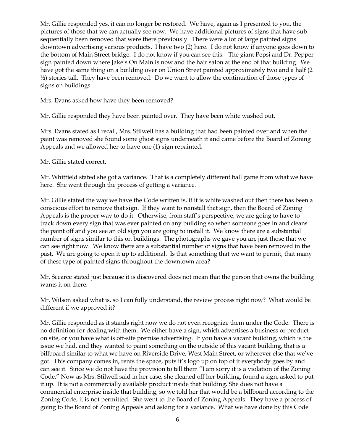Mr. Gillie responded yes, it can no longer be restored. We have, again as I presented to you, the pictures of those that we can actually see now. We have additional pictures of signs that have sub sequentially been removed that were there previously. There were a lot of large painted signs downtown advertising various products. I have two (2) here. I do not know if anyone goes down to the bottom of Main Street bridge. I do not know if you can see this. The giant Pepsi and Dr. Pepper sign painted down where Jake's On Main is now and the hair salon at the end of that building. We have got the same thing on a building over on Union Street painted approximately two and a half (2  $\frac{1}{2}$ ) stories tall. They have been removed. Do we want to allow the continuation of those types of signs on buildings.

Mrs. Evans asked how have they been removed?

Mr. Gillie responded they have been painted over. They have been white washed out.

Mrs. Evans stated as I recall, Mrs. Stilwell has a building that had been painted over and when the paint was removed she found some ghost signs underneath it and came before the Board of Zoning Appeals and we allowed her to have one (1) sign repainted.

Mr. Gillie stated correct.

Mr. Whitfield stated she got a variance. That is a completely different ball game from what we have here. She went through the process of getting a variance.

Mr. Gillie stated the way we have the Code written is, if it is white washed out then there has been a conscious effort to remove that sign. If they want to reinstall that sign, then the Board of Zoning Appeals is the proper way to do it. Otherwise, from staff's perspective, we are going to have to track down every sign that was ever painted on any building so when someone goes in and cleans the paint off and you see an old sign you are going to install it. We know there are a substantial number of signs similar to this on buildings. The photographs we gave you are just those that we can see right now. We know there are a substantial number of signs that have been removed in the past. We are going to open it up to additional. Is that something that we want to permit, that many of these type of painted signs throughout the downtown area?

Mr. Scearce stated just because it is discovered does not mean that the person that owns the building wants it on there.

Mr. Wilson asked what is, so I can fully understand, the review process right now? What would be different if we approved it?

Mr. Gillie responded as it stands right now we do not even recognize them under the Code. There is no definition for dealing with them. We either have a sign, which advertises a business or product on site, or you have what is off-site premise advertising. If you have a vacant building, which is the issue we had, and they wanted to paint something on the outside of this vacant building, that is a billboard similar to what we have on Riverside Drive, West Main Street, or wherever else that we've got. This company comes in, rents the space, puts it's logo up on top of it everybody goes by and can see it. Since we do not have the provision to tell them "I am sorry it is a violation of the Zoning Code." Now as Mrs. Stilwell said in her case, she cleaned off her building, found a sign, asked to put it up. It is not a commercially available product inside that building. She does not have a commercial enterprise inside that building, so we told her that would be a billboard according to the Zoning Code, it is not permitted. She went to the Board of Zoning Appeals. They have a process of going to the Board of Zoning Appeals and asking for a variance. What we have done by this Code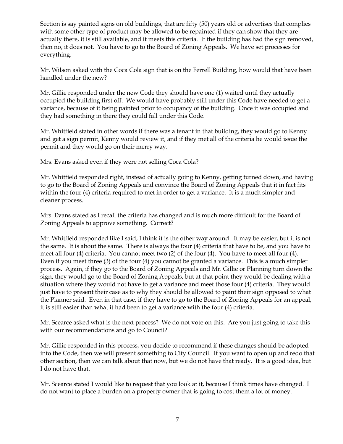Section is say painted signs on old buildings, that are fifty (50) years old or advertises that complies with some other type of product may be allowed to be repainted if they can show that they are actually there, it is still available, and it meets this criteria. If the building has had the sign removed, then no, it does not. You have to go to the Board of Zoning Appeals. We have set processes for everything.

Mr. Wilson asked with the Coca Cola sign that is on the Ferrell Building, how would that have been handled under the new?

Mr. Gillie responded under the new Code they should have one (1) waited until they actually occupied the building first off. We would have probably still under this Code have needed to get a variance, because of it being painted prior to occupancy of the building. Once it was occupied and they had something in there they could fall under this Code.

Mr. Whitfield stated in other words if there was a tenant in that building, they would go to Kenny and get a sign permit, Kenny would review it, and if they met all of the criteria he would issue the permit and they would go on their merry way.

Mrs. Evans asked even if they were not selling Coca Cola?

Mr. Whitfield responded right, instead of actually going to Kenny, getting turned down, and having to go to the Board of Zoning Appeals and convince the Board of Zoning Appeals that it in fact fits within the four (4) criteria required to met in order to get a variance. It is a much simpler and cleaner process.

Mrs. Evans stated as I recall the criteria has changed and is much more difficult for the Board of Zoning Appeals to approve something. Correct?

Mr. Whitfield responded like I said, I think it is the other way around. It may be easier, but it is not the same. It is about the same. There is always the four (4) criteria that have to be, and you have to meet all four (4) criteria. You cannot meet two (2) of the four (4). You have to meet all four (4). Even if you meet three (3) of the four (4) you cannot be granted a variance. This is a much simpler process. Again, if they go to the Board of Zoning Appeals and Mr. Gillie or Planning turn down the sign, they would go to the Board of Zoning Appeals, but at that point they would be dealing with a situation where they would not have to get a variance and meet those four (4) criteria. They would just have to present their case as to why they should be allowed to paint their sign opposed to what the Planner said. Even in that case, if they have to go to the Board of Zoning Appeals for an appeal, it is still easier than what it had been to get a variance with the four (4) criteria.

Mr. Scearce asked what is the next process? We do not vote on this. Are you just going to take this with our recommendations and go to Council?

Mr. Gillie responded in this process, you decide to recommend if these changes should be adopted into the Code, then we will present something to City Council. If you want to open up and redo that other section, then we can talk about that now, but we do not have that ready. It is a good idea, but I do not have that.

Mr. Scearce stated I would like to request that you look at it, because I think times have changed. I do not want to place a burden on a property owner that is going to cost them a lot of money.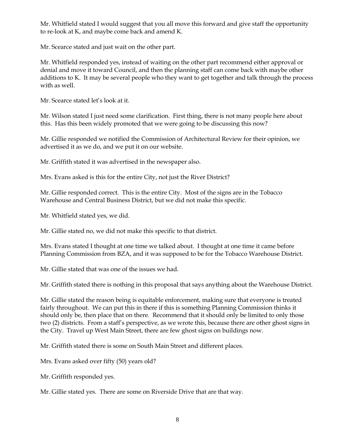Mr. Whitfield stated I would suggest that you all move this forward and give staff the opportunity to re-look at K, and maybe come back and amend K.

Mr. Scearce stated and just wait on the other part.

Mr. Whitfield responded yes, instead of waiting on the other part recommend either approval or denial and move it toward Council, and then the planning staff can come back with maybe other additions to K. It may be several people who they want to get together and talk through the process with as well.

Mr. Scearce stated let's look at it.

Mr. Wilson stated I just need some clarification. First thing, there is not many people here about this. Has this been widely promoted that we were going to be discussing this now?

Mr. Gillie responded we notified the Commission of Architectural Review for their opinion, we advertised it as we do, and we put it on our website.

Mr. Griffith stated it was advertised in the newspaper also.

Mrs. Evans asked is this for the entire City, not just the River District?

Mr. Gillie responded correct. This is the entire City. Most of the signs are in the Tobacco Warehouse and Central Business District, but we did not make this specific.

Mr. Whitfield stated yes, we did.

Mr. Gillie stated no, we did not make this specific to that district.

Mrs. Evans stated I thought at one time we talked about. I thought at one time it came before Planning Commission from BZA, and it was supposed to be for the Tobacco Warehouse District.

Mr. Gillie stated that was one of the issues we had.

Mr. Griffith stated there is nothing in this proposal that says anything about the Warehouse District.

Mr. Gillie stated the reason being is equitable enforcement, making sure that everyone is treated fairly throughout. We can put this in there if this is something Planning Commission thinks it should only be, then place that on there. Recommend that it should only be limited to only those two (2) districts. From a staff's perspective, as we wrote this, because there are other ghost signs in the City. Travel up West Main Street, there are few ghost signs on buildings now.

Mr. Griffith stated there is some on South Main Street and different places.

Mrs. Evans asked over fifty (50) years old?

Mr. Griffith responded yes.

Mr. Gillie stated yes. There are some on Riverside Drive that are that way.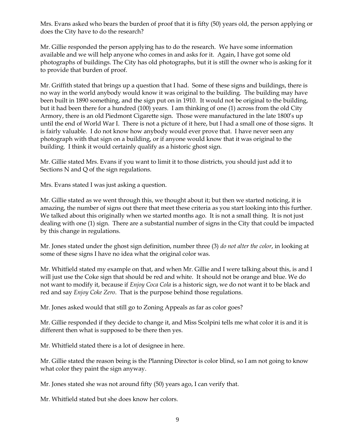Mrs. Evans asked who bears the burden of proof that it is fifty (50) years old, the person applying or does the City have to do the research?

Mr. Gillie responded the person applying has to do the research. We have some information available and we will help anyone who comes in and asks for it. Again, I have got some old photographs of buildings. The City has old photographs, but it is still the owner who is asking for it to provide that burden of proof.

Mr. Griffith stated that brings up a question that I had. Some of these signs and buildings, there is no way in the world anybody would know it was original to the building. The building may have been built in 1890 something, and the sign put on in 1910. It would not be original to the building, but it had been there for a hundred (100) years. I am thinking of one (1) across from the old City Armory, there is an old Piedmont Cigarette sign. Those were manufactured in the late 1800's up until the end of World War I. There is not a picture of it here, but I had a small one of those signs. It is fairly valuable. I do not know how anybody would ever prove that. I have never seen any photograph with that sign on a building, or if anyone would know that it was original to the building. I think it would certainly qualify as a historic ghost sign.

Mr. Gillie stated Mrs. Evans if you want to limit it to those districts, you should just add it to Sections N and Q of the sign regulations.

Mrs. Evans stated I was just asking a question.

Mr. Gillie stated as we went through this, we thought about it; but then we started noticing, it is amazing, the number of signs out there that meet these criteria as you start looking into this further. We talked about this originally when we started months ago. It is not a small thing. It is not just dealing with one (1) sign. There are a substantial number of signs in the City that could be impacted by this change in regulations.

Mr. Jones stated under the ghost sign definition, number three (3) *do not alter the color*, in looking at some of these signs I have no idea what the original color was.

Mr. Whitfield stated my example on that, and when Mr. Gillie and I were talking about this, is and I will just use the Coke sign that should be red and white. It should not be orange and blue. We do not want to modify it, because if *Enjoy Coca Cola* is a historic sign, we do not want it to be black and red and say *Enjoy Coke Zero*. That is the purpose behind those regulations.

Mr. Jones asked would that still go to Zoning Appeals as far as color goes?

Mr. Gillie responded if they decide to change it, and Miss Scolpini tells me what color it is and it is different then what is supposed to be there then yes.

Mr. Whitfield stated there is a lot of designee in here.

Mr. Gillie stated the reason being is the Planning Director is color blind, so I am not going to know what color they paint the sign anyway.

Mr. Jones stated she was not around fifty (50) years ago, I can verify that.

Mr. Whitfield stated but she does know her colors.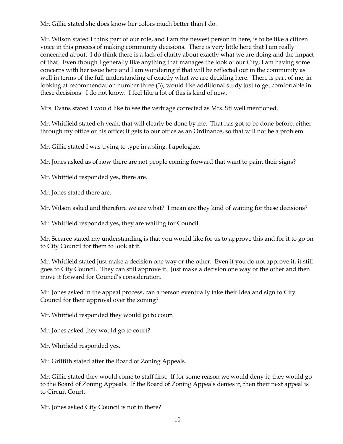Mr. Gillie stated she does know her colors much better than I do.

Mr. Wilson stated I think part of our role, and I am the newest person in here, is to be like a citizen voice in this process of making community decisions. There is very little here that I am really concerned about. I do think there is a lack of clarity about exactly what we are doing and the impact of that. Even though I generally like anything that manages the look of our City, I am having some concerns with her issue here and I am wondering if that will be reflected out in the community as well in terms of the full understanding of exactly what we are deciding here. There is part of me, in looking at recommendation number three (3), would like additional study just to get comfortable in these decisions. I do not know. I feel like a lot of this is kind of new.

Mrs. Evans stated I would like to see the verbiage corrected as Mrs. Stilwell mentioned.

Mr. Whitfield stated oh yeah, that will clearly be done by me. That has got to be done before, either through my office or his office; it gets to our office as an Ordinance, so that will not be a problem.

Mr. Gillie stated I was trying to type in a sling, I apologize.

Mr. Jones asked as of now there are not people coming forward that want to paint their signs?

Mr. Whitfield responded yes, there are.

Mr. Jones stated there are.

Mr. Wilson asked and therefore we are what? I mean are they kind of waiting for these decisions?

Mr. Whitfield responded yes, they are waiting for Council.

Mr. Scearce stated my understanding is that you would like for us to approve this and for it to go on to City Council for them to look at it.

Mr. Whitfield stated just make a decision one way or the other. Even if you do not approve it, it still goes to City Council. They can still approve it. Just make a decision one way or the other and then move it forward for Council's consideration.

Mr. Jones asked in the appeal process, can a person eventually take their idea and sign to City Council for their approval over the zoning?

Mr. Whitfield responded they would go to court.

Mr. Jones asked they would go to court?

Mr. Whitfield responded yes.

Mr. Griffith stated after the Board of Zoning Appeals.

Mr. Gillie stated they would come to staff first. If for some reason we would deny it, they would go to the Board of Zoning Appeals. If the Board of Zoning Appeals denies it, then their next appeal is to Circuit Court.

Mr. Jones asked City Council is not in there?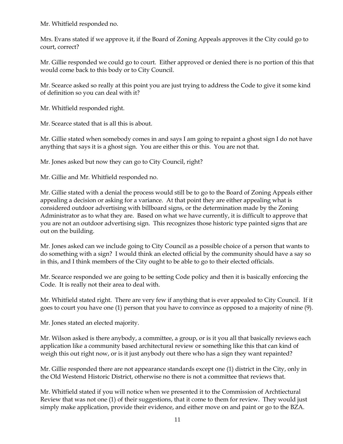Mr. Whitfield responded no.

Mrs. Evans stated if we approve it, if the Board of Zoning Appeals approves it the City could go to court, correct?

Mr. Gillie responded we could go to court. Either approved or denied there is no portion of this that would come back to this body or to City Council.

Mr. Scearce asked so really at this point you are just trying to address the Code to give it some kind of definition so you can deal with it?

Mr. Whitfield responded right.

Mr. Scearce stated that is all this is about.

Mr. Gillie stated when somebody comes in and says I am going to repaint a ghost sign I do not have anything that says it is a ghost sign. You are either this or this. You are not that.

Mr. Jones asked but now they can go to City Council, right?

Mr. Gillie and Mr. Whitfield responded no.

Mr. Gillie stated with a denial the process would still be to go to the Board of Zoning Appeals either appealing a decision or asking for a variance. At that point they are either appealing what is considered outdoor advertising with billboard signs, or the determination made by the Zoning Administrator as to what they are. Based on what we have currently, it is difficult to approve that you are not an outdoor advertising sign. This recognizes those historic type painted signs that are out on the building.

Mr. Jones asked can we include going to City Council as a possible choice of a person that wants to do something with a sign? I would think an elected official by the community should have a say so in this, and I think members of the City ought to be able to go to their elected officials.

Mr. Scearce responded we are going to be setting Code policy and then it is basically enforcing the Code. It is really not their area to deal with.

Mr. Whitfield stated right. There are very few if anything that is ever appealed to City Council. If it goes to court you have one (1) person that you have to convince as opposed to a majority of nine (9).

Mr. Jones stated an elected majority.

Mr. Wilson asked is there anybody, a committee, a group, or is it you all that basically reviews each application like a community based architectural review or something like this that can kind of weigh this out right now, or is it just anybody out there who has a sign they want repainted?

Mr. Gillie responded there are not appearance standards except one (1) district in the City, only in the Old Westend Historic District, otherwise no there is not a committee that reviews that.

Mr. Whitfield stated if you will notice when we presented it to the Commission of Archtiectural Review that was not one (1) of their suggestions, that it come to them for review. They would just simply make application, provide their evidence, and either move on and paint or go to the BZA.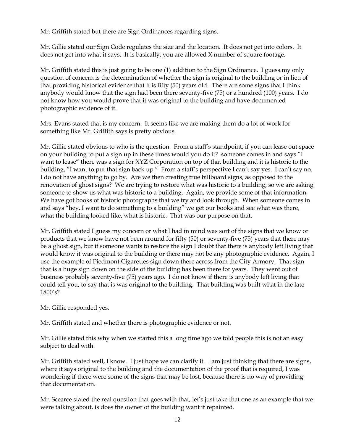Mr. Griffith stated but there are Sign Ordinances regarding signs.

Mr. Gillie stated our Sign Code regulates the size and the location. It does not get into colors. It does not get into what it says. It is basically, you are allowed X number of square footage.

Mr. Griffith stated this is just going to be one (1) addition to the Sign Ordinance. I guess my only question of concern is the determination of whether the sign is original to the building or in lieu of that providing historical evidence that it is fifty (50) years old. There are some signs that I think anybody would know that the sign had been there seventy-five (75) or a hundred (100) years. I do not know how you would prove that it was original to the building and have documented photographic evidence of it.

Mrs. Evans stated that is my concern. It seems like we are making them do a lot of work for something like Mr. Griffith says is pretty obvious.

Mr. Gillie stated obvious to who is the question. From a staff's standpoint, if you can lease out space on your building to put a sign up in these times would you do it? someone comes in and says "I want to lease" there was a sign for XYZ Corporation on top of that building and it is historic to the building, "I want to put that sign back up." From a staff's perspective I can't say yes. I can't say no. I do not have anything to go by. Are we then creating true billboard signs, as opposed to the renovation of ghost signs? We are trying to restore what was historic to a building, so we are asking someone to show us what was historic to a building. Again, we provide some of that information. We have got books of historic photographs that we try and look through. When someone comes in and says "hey, I want to do something to a building" we get our books and see what was there, what the building looked like, what is historic. That was our purpose on that.

Mr. Griffith stated I guess my concern or what I had in mind was sort of the signs that we know or products that we know have not been around for fifty (50) or seventy-five (75) years that there may be a ghost sign, but if someone wants to restore the sign I doubt that there is anybody left living that would know it was original to the building or there may not be any photographic evidence. Again, I use the example of Piedmont Cigarettes sign down there across from the City Armory. That sign that is a huge sign down on the side of the building has been there for years. They went out of business probably seventy-five (75) years ago. I do not know if there is anybody left living that could tell you, to say that is was original to the building. That building was built what in the late 1800's?

Mr. Gillie responded yes.

Mr. Griffith stated and whether there is photographic evidence or not.

Mr. Gillie stated this why when we started this a long time ago we told people this is not an easy subject to deal with.

Mr. Griffith stated well, I know. I just hope we can clarify it. I am just thinking that there are signs, where it says original to the building and the documentation of the proof that is required, I was wondering if there were some of the signs that may be lost, because there is no way of providing that documentation.

Mr. Scearce stated the real question that goes with that, let's just take that one as an example that we were talking about, is does the owner of the building want it repainted.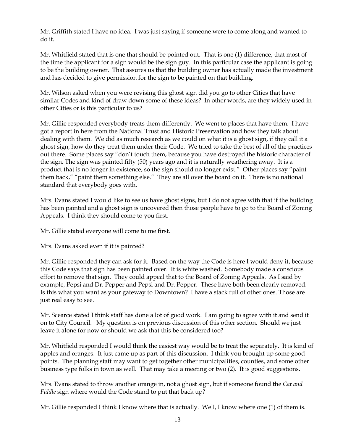Mr. Griffith stated I have no idea. I was just saying if someone were to come along and wanted to do it.

Mr. Whitfield stated that is one that should be pointed out. That is one (1) difference, that most of the time the applicant for a sign would be the sign guy. In this particular case the applicant is going to be the building owner. That assures us that the building owner has actually made the investment and has decided to give permission for the sign to be painted on that building.

Mr. Wilson asked when you were revising this ghost sign did you go to other Cities that have similar Codes and kind of draw down some of these ideas? In other words, are they widely used in other Cities or is this particular to us?

Mr. Gillie responded everybody treats them differently. We went to places that have them. I have got a report in here from the National Trust and Historic Preservation and how they talk about dealing with them. We did as much research as we could on what it is a ghost sign, if they call it a ghost sign, how do they treat them under their Code. We tried to take the best of all of the practices out there. Some places say "don't touch them, because you have destroyed the historic character of the sign. The sign was painted fifty (50) years ago and it is naturally weathering away. It is a product that is no longer in existence, so the sign should no longer exist." Other places say "paint them back," "paint them something else." They are all over the board on it. There is no national standard that everybody goes with.

Mrs. Evans stated I would like to see us have ghost signs, but I do not agree with that if the building has been painted and a ghost sign is uncovered then those people have to go to the Board of Zoning Appeals. I think they should come to you first.

Mr. Gillie stated everyone will come to me first.

Mrs. Evans asked even if it is painted?

Mr. Gillie responded they can ask for it. Based on the way the Code is here I would deny it, because this Code says that sign has been painted over. It is white washed. Somebody made a conscious effort to remove that sign. They could appeal that to the Board of Zoning Appeals. As I said by example, Pepsi and Dr. Pepper and Pepsi and Dr. Pepper. These have both been clearly removed. Is this what you want as your gateway to Downtown? I have a stack full of other ones. Those are just real easy to see.

Mr. Scearce stated I think staff has done a lot of good work. I am going to agree with it and send it on to City Council. My question is on previous discussion of this other section. Should we just leave it alone for now or should we ask that this be considered too?

Mr. Whitfield responded I would think the easiest way would be to treat the separately. It is kind of apples and oranges. It just came up as part of this discussion. I think you brought up some good points. The planning staff may want to get together other municipalities, counties, and some other business type folks in town as well. That may take a meeting or two (2). It is good suggestions.

Mrs. Evans stated to throw another orange in, not a ghost sign, but if someone found the *Cat and Fiddle* sign where would the Code stand to put that back up?

Mr. Gillie responded I think I know where that is actually. Well, I know where one (1) of them is.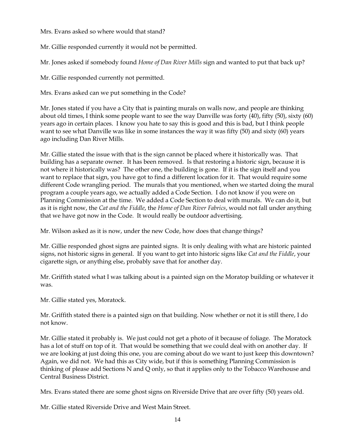Mrs. Evans asked so where would that stand?

Mr. Gillie responded currently it would not be permitted.

Mr. Jones asked if somebody found *Home of Dan River Mills* sign and wanted to put that back up?

Mr. Gillie responded currently not permitted.

Mrs. Evans asked can we put something in the Code?

Mr. Jones stated if you have a City that is painting murals on walls now, and people are thinking about old times, I think some people want to see the way Danville was forty (40), fifty (50), sixty (60) years ago in certain places. I know you hate to say this is good and this is bad, but I think people want to see what Danville was like in some instances the way it was fifty (50) and sixty (60) years ago including Dan River Mills.

Mr. Gillie stated the issue with that is the sign cannot be placed where it historically was. That building has a separate owner. It has been removed. Is that restoring a historic sign, because it is not where it historically was? The other one, the building is gone. If it is the sign itself and you want to replace that sign, you have got to find a different location for it. That would require some different Code wrangling period. The murals that you mentioned, when we started doing the mural program a couple years ago, we actually added a Code Section. I do not know if you were on Planning Commission at the time. We added a Code Section to deal with murals. We can do it, but as it is right now, the *Cat and the Fiddle*, the *Home of Dan River Fabrics*, would not fall under anything that we have got now in the Code. It would really be outdoor advertising.

Mr. Wilson asked as it is now, under the new Code, how does that change things?

Mr. Gillie responded ghost signs are painted signs. It is only dealing with what are historic painted signs, not historic signs in general. If you want to get into historic signs like *Cat and the Fiddle*, your cigarette sign, or anything else, probably save that for another day.

Mr. Griffith stated what I was talking about is a painted sign on the Moratop building or whatever it was.

Mr. Gillie stated yes, Moratock.

Mr. Griffith stated there is a painted sign on that building. Now whether or not it is still there, I do not know.

Mr. Gillie stated it probably is. We just could not get a photo of it because of foliage. The Moratock has a lot of stuff on top of it. That would be something that we could deal with on another day. If we are looking at just doing this one, you are coming about do we want to just keep this downtown? Again, we did not. We had this as City wide, but if this is something Planning Commission is thinking of please add Sections N and Q only, so that it applies only to the Tobacco Warehouse and Central Business District.

Mrs. Evans stated there are some ghost signs on Riverside Drive that are over fifty (50) years old.

Mr. Gillie stated Riverside Drive and West Main Street.